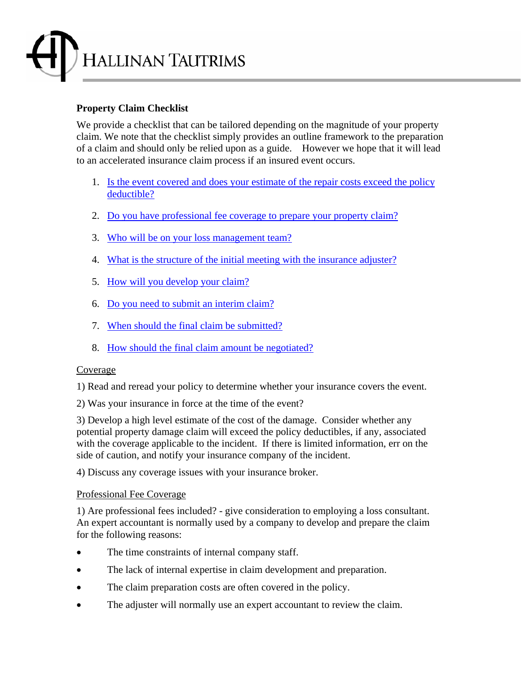

# **Property Claim Checklist**

We provide a checklist that can be tailored depending on the magnitude of your property claim. We note that the checklist simply provides an outline framework to the preparation of a claim and should only be relied upon as a guide. However we hope that it will lead to an accelerated insurance claim process if an insured event occurs.

- 1. Is the event covered and does your estimate of the repair costs exceed the policy deductible?
- 2. Do you have professional fee coverage to prepare your property claim?
- 3. Who will be on your loss management team?
- 4. What is the structure of the initial meeting with the insurance adjuster?
- 5. How will you develop your claim?
- 6. Do you need to submit an interim claim?
- 7. When should the final claim be submitted?
- 8. How should the final claim amount be negotiated?

#### Coverage

1) Read and reread your policy to determine whether your insurance covers the event.

2) Was your insurance in force at the time of the event?

3) Develop a high level estimate of the cost of the damage. Consider whether any potential property damage claim will exceed the policy deductibles, if any, associated with the coverage applicable to the incident. If there is limited information, err on the side of caution, and notify your insurance company of the incident.

4) Discuss any coverage issues with your insurance broker.

#### Professional Fee Coverage

1) Are professional fees included? - give consideration to employing a loss consultant. An expert accountant is normally used by a company to develop and prepare the claim for the following reasons:

- The time constraints of internal company staff.
- The lack of internal expertise in claim development and preparation.
- The claim preparation costs are often covered in the policy.
- The adjuster will normally use an expert accountant to review the claim.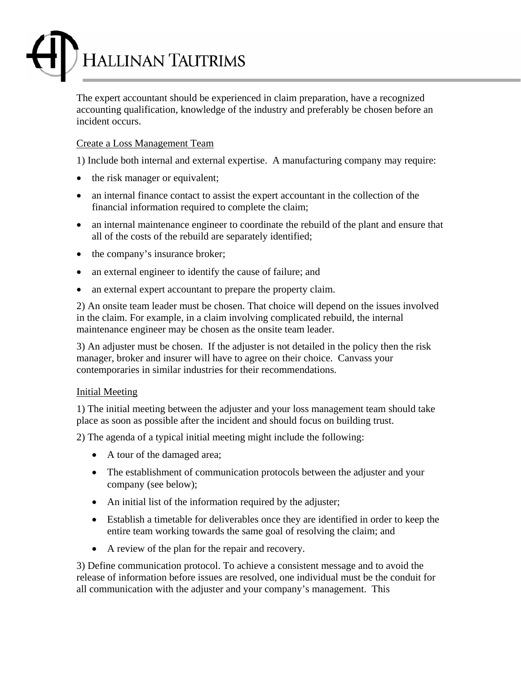

The expert accountant should be experienced in claim preparation, have a recognized accounting qualification, knowledge of the industry and preferably be chosen before an incident occurs.

## Create a Loss Management Team

1) Include both internal and external expertise. A manufacturing company may require:

- the risk manager or equivalent;
- an internal finance contact to assist the expert accountant in the collection of the financial information required to complete the claim;
- an internal maintenance engineer to coordinate the rebuild of the plant and ensure that all of the costs of the rebuild are separately identified;
- the company's insurance broker;
- an external engineer to identify the cause of failure; and
- an external expert accountant to prepare the property claim.

2) An onsite team leader must be chosen. That choice will depend on the issues involved in the claim. For example, in a claim involving complicated rebuild, the internal maintenance engineer may be chosen as the onsite team leader.

3) An adjuster must be chosen. If the adjuster is not detailed in the policy then the risk manager, broker and insurer will have to agree on their choice. Canvass your contemporaries in similar industries for their recommendations.

#### Initial Meeting

1) The initial meeting between the adjuster and your loss management team should take place as soon as possible after the incident and should focus on building trust.

2) The agenda of a typical initial meeting might include the following:

- A tour of the damaged area;
- The establishment of communication protocols between the adjuster and your company (see below);
- An initial list of the information required by the adjuster;
- Establish a timetable for deliverables once they are identified in order to keep the entire team working towards the same goal of resolving the claim; and
- A review of the plan for the repair and recovery.

3) Define communication protocol. To achieve a consistent message and to avoid the release of information before issues are resolved, one individual must be the conduit for all communication with the adjuster and your company's management. This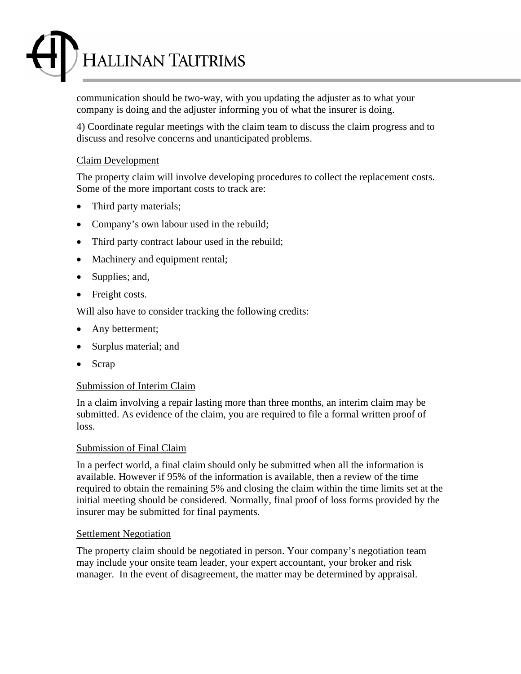

communication should be two-way, with you updating the adjuster as to what your company is doing and the adjuster informing you of what the insurer is doing.

4) Coordinate regular meetings with the claim team to discuss the claim progress and to discuss and resolve concerns and unanticipated problems.

### Claim Development

The property claim will involve developing procedures to collect the replacement costs. Some of the more important costs to track are:

- Third party materials;
- Company's own labour used in the rebuild;
- Third party contract labour used in the rebuild;
- Machinery and equipment rental;
- Supplies; and,
- Freight costs.

Will also have to consider tracking the following credits:

- Any betterment;
- Surplus material; and
- Scrap

## Submission of Interim Claim

In a claim involving a repair lasting more than three months, an interim claim may be submitted. As evidence of the claim, you are required to file a formal written proof of loss.

#### Submission of Final Claim

In a perfect world, a final claim should only be submitted when all the information is available. However if 95% of the information is available, then a review of the time required to obtain the remaining 5% and closing the claim within the time limits set at the initial meeting should be considered. Normally, final proof of loss forms provided by the insurer may be submitted for final payments.

#### Settlement Negotiation

The property claim should be negotiated in person. Your company's negotiation team may include your onsite team leader, your expert accountant, your broker and risk manager. In the event of disagreement, the matter may be determined by appraisal.